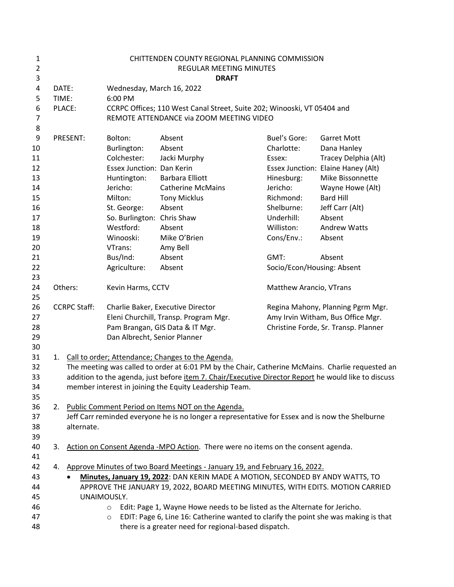| 1<br>$\overline{2}$ |                     |             |                                                                         | CHITTENDEN COUNTY REGIONAL PLANNING COMMISSION<br>REGULAR MEETING MINUTES                            |                                      |                                    |
|---------------------|---------------------|-------------|-------------------------------------------------------------------------|------------------------------------------------------------------------------------------------------|--------------------------------------|------------------------------------|
| 3                   |                     |             |                                                                         | <b>DRAFT</b>                                                                                         |                                      |                                    |
| 4                   | DATE:               |             | Wednesday, March 16, 2022                                               |                                                                                                      |                                      |                                    |
| 5                   | TIME:               |             | 6:00 PM                                                                 |                                                                                                      |                                      |                                    |
| 6                   | PLACE:              |             | CCRPC Offices; 110 West Canal Street, Suite 202; Winooski, VT 05404 and |                                                                                                      |                                      |                                    |
| $\overline{7}$      |                     |             |                                                                         | REMOTE ATTENDANCE via ZOOM MEETING VIDEO                                                             |                                      |                                    |
| 8                   |                     |             |                                                                         |                                                                                                      |                                      |                                    |
| 9                   |                     | PRESENT:    | Bolton:                                                                 | Absent                                                                                               | Buel's Gore:                         | <b>Garret Mott</b>                 |
| 10                  |                     |             | Burlington:                                                             | Absent                                                                                               | Charlotte:                           | Dana Hanley                        |
| 11                  |                     |             | Colchester:                                                             | Jacki Murphy                                                                                         | Essex:                               | Tracey Delphia (Alt)               |
| 12                  |                     |             | <b>Essex Junction: Dan Kerin</b>                                        |                                                                                                      |                                      | Essex Junction: Elaine Haney (Alt) |
| 13                  |                     |             | Huntington:                                                             | <b>Barbara Elliott</b>                                                                               | Hinesburg:                           | Mike Bissonnette                   |
| 14                  |                     |             | Jericho:                                                                | <b>Catherine McMains</b>                                                                             | Jericho:                             | Wayne Howe (Alt)                   |
| 15                  |                     |             | Milton:                                                                 | <b>Tony Micklus</b>                                                                                  | Richmond:                            | <b>Bard Hill</b>                   |
| 16                  |                     |             | St. George:                                                             | Absent                                                                                               | Shelburne:                           | Jeff Carr (Alt)                    |
| 17                  |                     |             | So. Burlington: Chris Shaw                                              |                                                                                                      | Underhill:                           | Absent                             |
| 18                  |                     |             | Westford:                                                               | Absent                                                                                               | Williston:                           | <b>Andrew Watts</b>                |
| 19                  |                     |             | Winooski:                                                               | Mike O'Brien                                                                                         | Cons/Env.:                           | Absent                             |
| 20                  |                     |             | VTrans:                                                                 | Amy Bell                                                                                             |                                      |                                    |
| 21                  |                     |             | Bus/Ind:                                                                | Absent                                                                                               | GMT:                                 | Absent                             |
| 22                  |                     |             | Agriculture:                                                            | Absent                                                                                               | Socio/Econ/Housing: Absent           |                                    |
| 23                  |                     |             |                                                                         |                                                                                                      |                                      |                                    |
| 24<br>25            | Others:             |             | Kevin Harms, CCTV                                                       |                                                                                                      | Matthew Arancio, VTrans              |                                    |
| 26                  | <b>CCRPC Staff:</b> |             | Charlie Baker, Executive Director                                       |                                                                                                      | Regina Mahony, Planning Pgrm Mgr.    |                                    |
| 27                  |                     |             | Eleni Churchill, Transp. Program Mgr.                                   |                                                                                                      | Amy Irvin Witham, Bus Office Mgr.    |                                    |
| 28                  |                     |             | Pam Brangan, GIS Data & IT Mgr.                                         |                                                                                                      | Christine Forde, Sr. Transp. Planner |                                    |
| 29                  |                     |             | Dan Albrecht, Senior Planner                                            |                                                                                                      |                                      |                                    |
| 30                  |                     |             |                                                                         |                                                                                                      |                                      |                                    |
| 31                  |                     |             |                                                                         | 1. Call to order; Attendance; Changes to the Agenda.                                                 |                                      |                                    |
| 32                  |                     |             |                                                                         | The meeting was called to order at 6:01 PM by the Chair, Catherine McMains. Charlie requested an     |                                      |                                    |
| 33                  |                     |             |                                                                         | addition to the agenda, just before item 7. Chair/Executive Director Report he would like to discuss |                                      |                                    |
| 34                  |                     |             |                                                                         | member interest in joining the Equity Leadership Team.                                               |                                      |                                    |
| 35                  |                     |             |                                                                         |                                                                                                      |                                      |                                    |
| 36                  |                     |             |                                                                         | 2. Public Comment Period on Items NOT on the Agenda.                                                 |                                      |                                    |
| 37                  |                     |             |                                                                         | Jeff Carr reminded everyone he is no longer a representative for Essex and is now the Shelburne      |                                      |                                    |
| 38                  |                     | alternate.  |                                                                         |                                                                                                      |                                      |                                    |
| 39                  |                     |             |                                                                         |                                                                                                      |                                      |                                    |
| 40                  | 3.                  |             |                                                                         | Action on Consent Agenda -MPO Action. There were no items on the consent agenda.                     |                                      |                                    |
| 41<br>42            | 4.                  |             |                                                                         | Approve Minutes of two Board Meetings - January 19, and February 16, 2022.                           |                                      |                                    |
| 43                  |                     | $\bullet$   |                                                                         | Minutes, January 19, 2022: DAN KERIN MADE A MOTION, SECONDED BY ANDY WATTS, TO                       |                                      |                                    |
| 44                  |                     |             |                                                                         | APPROVE THE JANUARY 19, 2022, BOARD MEETING MINUTES, WITH EDITS. MOTION CARRIED                      |                                      |                                    |
| 45                  |                     | UNAIMOUSLY. |                                                                         |                                                                                                      |                                      |                                    |
| 46                  |                     |             | $\circ$                                                                 | Edit: Page 1, Wayne Howe needs to be listed as the Alternate for Jericho.                            |                                      |                                    |
| 47                  |                     |             | $\circ$                                                                 | EDIT: Page 6, Line 16: Catherine wanted to clarify the point she was making is that                  |                                      |                                    |
| 48                  |                     |             |                                                                         | there is a greater need for regional-based dispatch.                                                 |                                      |                                    |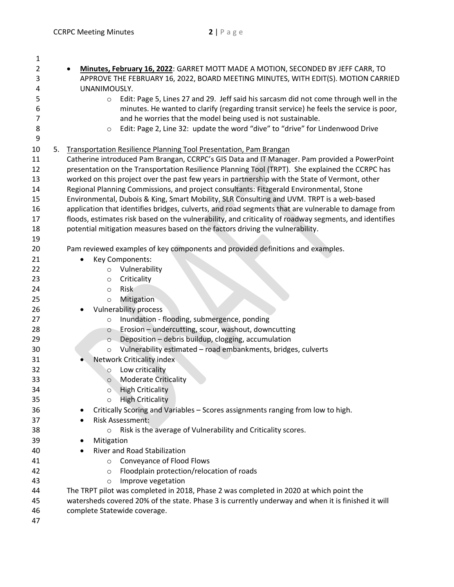| 1        |    |                                                                                                        |  |  |  |  |  |  |
|----------|----|--------------------------------------------------------------------------------------------------------|--|--|--|--|--|--|
| 2        |    | Minutes, February 16, 2022: GARRET MOTT MADE A MOTION, SECONDED BY JEFF CARR, TO                       |  |  |  |  |  |  |
| 3        |    | APPROVE THE FEBRUARY 16, 2022, BOARD MEETING MINUTES, WITH EDIT(S). MOTION CARRIED                     |  |  |  |  |  |  |
| 4        |    | UNANIMOUSLY.                                                                                           |  |  |  |  |  |  |
| 5        |    | Edit: Page 5, Lines 27 and 29. Jeff said his sarcasm did not come through well in the<br>$\circ$       |  |  |  |  |  |  |
| 6        |    | minutes. He wanted to clarify (regarding transit service) he feels the service is poor,                |  |  |  |  |  |  |
| 7        |    | and he worries that the model being used is not sustainable.                                           |  |  |  |  |  |  |
| 8        |    | Edit: Page 2, Line 32: update the word "dive" to "drive" for Lindenwood Drive<br>$\circ$               |  |  |  |  |  |  |
| 9        |    |                                                                                                        |  |  |  |  |  |  |
| 10       | 5. | Transportation Resilience Planning Tool Presentation, Pam Brangan                                      |  |  |  |  |  |  |
| 11       |    | Catherine introduced Pam Brangan, CCRPC's GIS Data and IT Manager. Pam provided a PowerPoint           |  |  |  |  |  |  |
| 12       |    | presentation on the Transportation Resilience Planning Tool (TRPT). She explained the CCRPC has        |  |  |  |  |  |  |
| 13       |    | worked on this project over the past few years in partnership with the State of Vermont, other         |  |  |  |  |  |  |
| 14       |    | Regional Planning Commissions, and project consultants: Fitzgerald Environmental, Stone                |  |  |  |  |  |  |
| 15       |    | Environmental, Dubois & King, Smart Mobility, SLR Consulting and UVM. TRPT is a web-based              |  |  |  |  |  |  |
| 16       |    | application that identifies bridges, culverts, and road segments that are vulnerable to damage from    |  |  |  |  |  |  |
| 17       |    | floods, estimates risk based on the vulnerability, and criticality of roadway segments, and identifies |  |  |  |  |  |  |
| 18       |    | potential mitigation measures based on the factors driving the vulnerability.                          |  |  |  |  |  |  |
| 19       |    |                                                                                                        |  |  |  |  |  |  |
| 20       |    | Pam reviewed examples of key components and provided definitions and examples.                         |  |  |  |  |  |  |
| 21       |    | Key Components:                                                                                        |  |  |  |  |  |  |
| 22       |    | Vulnerability<br>$\circ$                                                                               |  |  |  |  |  |  |
| 23       |    | Criticality<br>$\circ$                                                                                 |  |  |  |  |  |  |
| 24       |    | Risk<br>$\circ$                                                                                        |  |  |  |  |  |  |
| 25<br>26 |    | Mitigation<br>$\circ$                                                                                  |  |  |  |  |  |  |
| 27       |    | <b>Vulnerability process</b><br>Inundation - flooding, submergence, ponding                            |  |  |  |  |  |  |
| 28       |    | $\circ$<br>Erosion - undercutting, scour, washout, downcutting<br>$\circ$                              |  |  |  |  |  |  |
| 29       |    | Deposition - debris buildup, clogging, accumulation<br>$\circ$                                         |  |  |  |  |  |  |
| 30       |    | Vulnerability estimated - road embankments, bridges, culverts<br>$\circ$                               |  |  |  |  |  |  |
| 31       |    | Network Criticality index                                                                              |  |  |  |  |  |  |
| 32       |    | Low criticality<br>$\circ$                                                                             |  |  |  |  |  |  |
| 33       |    | <b>Moderate Criticality</b><br>$\circ$                                                                 |  |  |  |  |  |  |
| 34       |    | <b>High Criticality</b><br>O                                                                           |  |  |  |  |  |  |
| 35       |    | <b>High Criticality</b><br>$\circ$                                                                     |  |  |  |  |  |  |
| 36       |    | Critically Scoring and Variables - Scores assignments ranging from low to high.                        |  |  |  |  |  |  |
| 37       |    | <b>Risk Assessment:</b>                                                                                |  |  |  |  |  |  |
| 38       |    | Risk is the average of Vulnerability and Criticality scores.<br>$\circ$                                |  |  |  |  |  |  |
| 39       |    | Mitigation                                                                                             |  |  |  |  |  |  |
| 40       |    | River and Road Stabilization                                                                           |  |  |  |  |  |  |
| 41       |    | Conveyance of Flood Flows<br>$\circ$                                                                   |  |  |  |  |  |  |
| 42       |    | Floodplain protection/relocation of roads<br>$\circ$                                                   |  |  |  |  |  |  |
| 43       |    | Improve vegetation<br>$\circ$                                                                          |  |  |  |  |  |  |
| 44       |    | The TRPT pilot was completed in 2018, Phase 2 was completed in 2020 at which point the                 |  |  |  |  |  |  |
| 45       |    | watersheds covered 20% of the state. Phase 3 is currently underway and when it is finished it will     |  |  |  |  |  |  |
| 46       |    | complete Statewide coverage.                                                                           |  |  |  |  |  |  |
| 47       |    |                                                                                                        |  |  |  |  |  |  |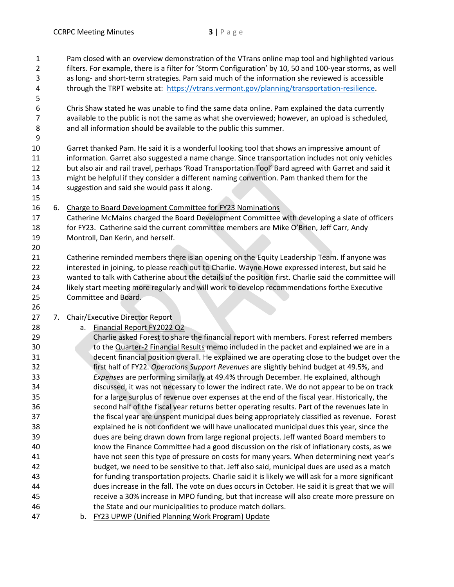Pam closed with an overview demonstration of the VTrans online map tool and highlighted various

- filters. For example, there is a filter for 'Storm Configuration' by 10, 50 and 100-year storms, as well
- as long- and short-term strategies. Pam said much of the information she reviewed is accessible 4 through the TRPT website at: [https://vtrans.vermont.gov/planning/transportation-resilience.](https://vtrans.vermont.gov/planning/transportation-resilience)
- 

 Chris Shaw stated he was unable to find the same data online. Pam explained the data currently available to the public is not the same as what she overviewed; however, an upload is scheduled, and all information should be available to the public this summer.

 Garret thanked Pam. He said it is a wonderful looking tool that shows an impressive amount of information. Garret also suggested a name change. Since transportation includes not only vehicles but also air and rail travel, perhaps 'Road Transportation Tool' Bard agreed with Garret and said it might be helpful if they consider a different naming convention. Pam thanked them for the suggestion and said she would pass it along.

6. Charge to Board Development Committee for FY23 Nominations

 Catherine McMains charged the Board Development Committee with developing a slate of officers 18 for FY23. Catherine said the current committee members are Mike O'Brien, Jeff Carr, Andy Montroll, Dan Kerin, and herself.

 Catherine reminded members there is an opening on the Equity Leadership Team. If anyone was interested in joining, to please reach out to Charlie. Wayne Howe expressed interest, but said he wanted to talk with Catherine about the details of the position first. Charlie said the committee will likely start meeting more regularly and will work to develop recommendations forthe Executive Committee and Board.

## 7. Chair/Executive Director Report

- a. Financial Report FY2022 Q2
- Charlie asked Forest to share the financial report with members. Forest referred members to the Quarter-2 Financial Results memo included in the packet and explained we are in a decent financial position overall. He explained we are operating close to the budget over the first half of FY22. *Operations Support Revenues* are slightly behind budget at 49.5%, and *Expenses* are performing similarly at 49.4% through December. He explained, although discussed, it was not necessary to lower the indirect rate. We do not appear to be on track for a large surplus of revenue over expenses at the end of the fiscal year. Historically, the second half of the fiscal year returns better operating results. Part of the revenues late in the fiscal year are unspent municipal dues being appropriately classified as revenue. Forest explained he is not confident we will have unallocated municipal dues this year, since the dues are being drawn down from large regional projects. Jeff wanted Board members to know the Finance Committee had a good discussion on the risk of inflationary costs, as we have not seen this type of pressure on costs for many years. When determining next year's budget, we need to be sensitive to that. Jeff also said, municipal dues are used as a match for funding transportation projects. Charlie said it is likely we will ask for a more significant dues increase in the fall. The vote on dues occurs in October. He said it is great that we will receive a 30% increase in MPO funding, but that increase will also create more pressure on the State and our municipalities to produce match dollars.
- b. FY23 UPWP (Unified Planning Work Program) Update